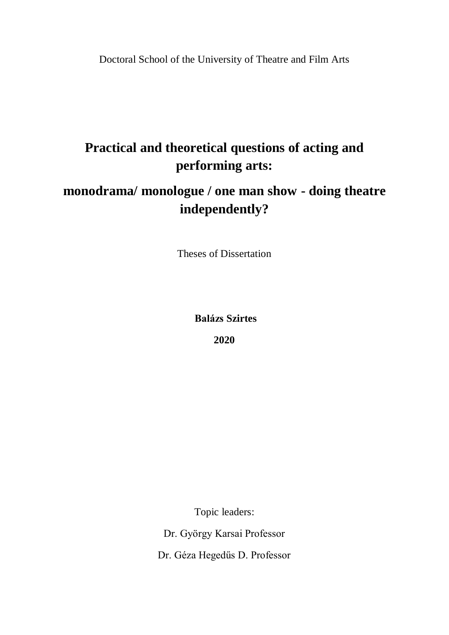Doctoral School of the University of Theatre and Film Arts

## **Practical and theoretical questions of acting and performing arts:**

## **monodrama/ monologue / one man show - doing theatre independently?**

Theses of Dissertation

**Balázs Szirtes**

**2020**

Topic leaders:

Dr. György Karsai Professor

Dr. Géza Hegedűs D. Professor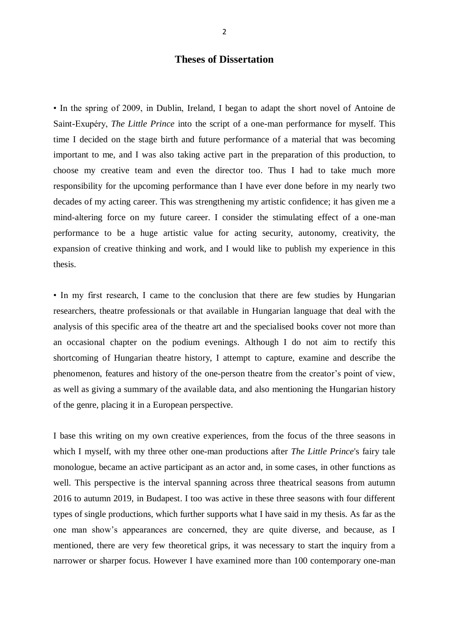## **Theses of Dissertation**

• In the spring of 2009, in Dublin, Ireland, I began to adapt the short novel of Antoine de Saint-Exupéry, *The Little Prince* into the script of a one-man performance for myself. This time I decided on the stage birth and future performance of a material that was becoming important to me, and I was also taking active part in the preparation of this production, to choose my creative team and even the director too. Thus I had to take much more responsibility for the upcoming performance than I have ever done before in my nearly two decades of my acting career. This was strengthening my artistic confidence; it has given me a mind-altering force on my future career. I consider the stimulating effect of a one-man performance to be a huge artistic value for acting security, autonomy, creativity, the expansion of creative thinking and work, and I would like to publish my experience in this thesis.

• In my first research, I came to the conclusion that there are few studies by Hungarian researchers, theatre professionals or that available in Hungarian language that deal with the analysis of this specific area of the theatre art and the specialised books cover not more than an occasional chapter on the podium evenings. Although I do not aim to rectify this shortcoming of Hungarian theatre history, I attempt to capture, examine and describe the phenomenon, features and history of the one-person theatre from the creator's point of view, as well as giving a summary of the available data, and also mentioning the Hungarian history of the genre, placing it in a European perspective.

I base this writing on my own creative experiences, from the focus of the three seasons in which I myself, with my three other one-man productions after *The Little Prince*'s fairy tale monologue, became an active participant as an actor and, in some cases, in other functions as well. This perspective is the interval spanning across three theatrical seasons from autumn 2016 to autumn 2019, in Budapest. I too was active in these three seasons with four different types of single productions, which further supports what I have said in my thesis. As far as the one man show's appearances are concerned, they are quite diverse, and because, as I mentioned, there are very few theoretical grips, it was necessary to start the inquiry from a narrower or sharper focus. However I have examined more than 100 contemporary one-man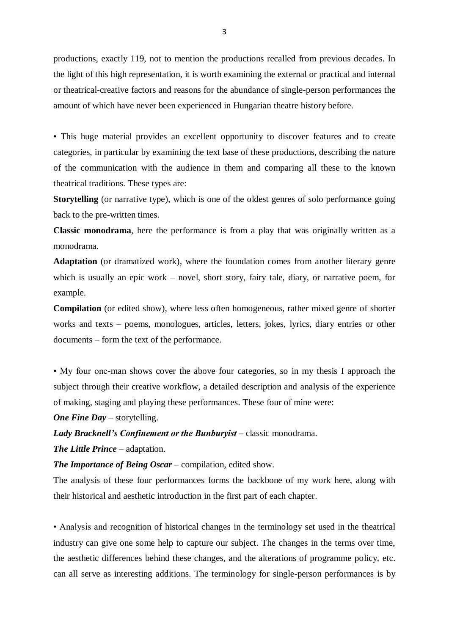productions, exactly 119, not to mention the productions recalled from previous decades. In the light of this high representation, it is worth examining the external or practical and internal or theatrical-creative factors and reasons for the abundance of single-person performances the amount of which have never been experienced in Hungarian theatre history before.

• This huge material provides an excellent opportunity to discover features and to create categories, in particular by examining the text base of these productions, describing the nature of the communication with the audience in them and comparing all these to the known theatrical traditions. These types are:

**Storytelling** (or narrative type), which is one of the oldest genres of solo performance going back to the pre-written times.

**Classic monodrama**, here the performance is from a play that was originally written as a monodrama.

**Adaptation** (or dramatized work), where the foundation comes from another literary genre which is usually an epic work – novel, short story, fairy tale, diary, or narrative poem, for example.

**Compilation** (or edited show), where less often homogeneous, rather mixed genre of shorter works and texts – poems, monologues, articles, letters, jokes, lyrics, diary entries or other documents – form the text of the performance.

• My four one-man shows cover the above four categories, so in my thesis I approach the subject through their creative workflow, a detailed description and analysis of the experience of making, staging and playing these performances. These four of mine were:

*One Fine Day* – storytelling.

*Lady Bracknell's Confinement or the Bunburyist* – classic monodrama.

*The Little Prince* – adaptation.

*The Importance of Being Oscar* – compilation, edited show.

The analysis of these four performances forms the backbone of my work here, along with their historical and aesthetic introduction in the first part of each chapter.

• Analysis and recognition of historical changes in the terminology set used in the theatrical industry can give one some help to capture our subject. The changes in the terms over time, the aesthetic differences behind these changes, and the alterations of programme policy, etc. can all serve as interesting additions. The terminology for single-person performances is by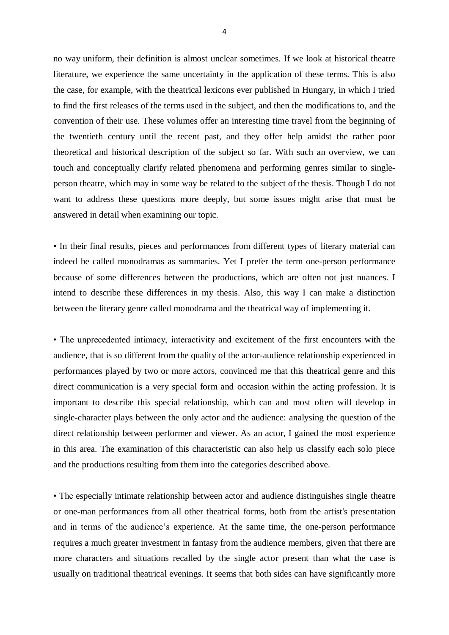no way uniform, their definition is almost unclear sometimes. If we look at historical theatre literature, we experience the same uncertainty in the application of these terms. This is also the case, for example, with the theatrical lexicons ever published in Hungary, in which I tried to find the first releases of the terms used in the subject, and then the modifications to, and the convention of their use. These volumes offer an interesting time travel from the beginning of the twentieth century until the recent past, and they offer help amidst the rather poor theoretical and historical description of the subject so far. With such an overview, we can touch and conceptually clarify related phenomena and performing genres similar to singleperson theatre, which may in some way be related to the subject of the thesis. Though I do not want to address these questions more deeply, but some issues might arise that must be answered in detail when examining our topic.

• In their final results, pieces and performances from different types of literary material can indeed be called monodramas as summaries. Yet I prefer the term one-person performance because of some differences between the productions, which are often not just nuances. I intend to describe these differences in my thesis. Also, this way I can make a distinction between the literary genre called monodrama and the theatrical way of implementing it.

• The unprecedented intimacy, interactivity and excitement of the first encounters with the audience, that is so different from the quality of the actor-audience relationship experienced in performances played by two or more actors, convinced me that this theatrical genre and this direct communication is a very special form and occasion within the acting profession. It is important to describe this special relationship, which can and most often will develop in single-character plays between the only actor and the audience: analysing the question of the direct relationship between performer and viewer. As an actor, I gained the most experience in this area. The examination of this characteristic can also help us classify each solo piece and the productions resulting from them into the categories described above.

• The especially intimate relationship between actor and audience distinguishes single theatre or one-man performances from all other theatrical forms, both from the artist's presentation and in terms of the audience's experience. At the same time, the one-person performance requires a much greater investment in fantasy from the audience members, given that there are more characters and situations recalled by the single actor present than what the case is usually on traditional theatrical evenings. It seems that both sides can have significantly more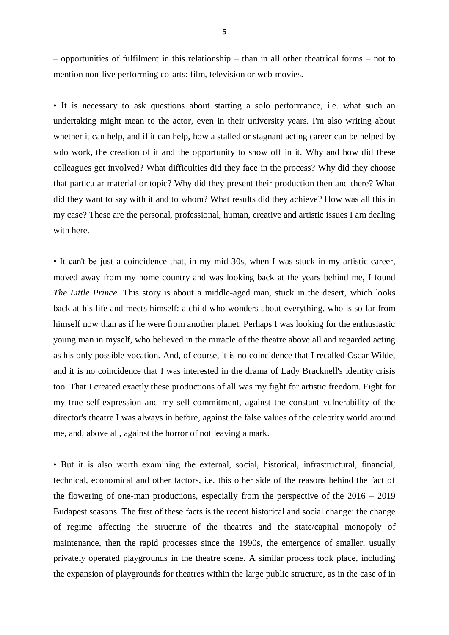– opportunities of fulfilment in this relationship – than in all other theatrical forms – not to mention non-live performing co-arts: film, television or web-movies.

• It is necessary to ask questions about starting a solo performance, i.e. what such an undertaking might mean to the actor, even in their university years. I'm also writing about whether it can help, and if it can help, how a stalled or stagnant acting career can be helped by solo work, the creation of it and the opportunity to show off in it. Why and how did these colleagues get involved? What difficulties did they face in the process? Why did they choose that particular material or topic? Why did they present their production then and there? What did they want to say with it and to whom? What results did they achieve? How was all this in my case? These are the personal, professional, human, creative and artistic issues I am dealing with here.

• It can't be just a coincidence that, in my mid-30s, when I was stuck in my artistic career, moved away from my home country and was looking back at the years behind me, I found *The Little Prince*. This story is about a middle-aged man, stuck in the desert, which looks back at his life and meets himself: a child who wonders about everything, who is so far from himself now than as if he were from another planet. Perhaps I was looking for the enthusiastic young man in myself, who believed in the miracle of the theatre above all and regarded acting as his only possible vocation. And, of course, it is no coincidence that I recalled Oscar Wilde, and it is no coincidence that I was interested in the drama of Lady Bracknell's identity crisis too. That I created exactly these productions of all was my fight for artistic freedom. Fight for my true self-expression and my self-commitment, against the constant vulnerability of the director's theatre I was always in before, against the false values of the celebrity world around me, and, above all, against the horror of not leaving a mark.

• But it is also worth examining the external, social, historical, infrastructural, financial, technical, economical and other factors, i.e. this other side of the reasons behind the fact of the flowering of one-man productions, especially from the perspective of the 2016 – 2019 Budapest seasons. The first of these facts is the recent historical and social change: the change of regime affecting the structure of the theatres and the state/capital monopoly of maintenance, then the rapid processes since the 1990s, the emergence of smaller, usually privately operated playgrounds in the theatre scene. A similar process took place, including the expansion of playgrounds for theatres within the large public structure, as in the case of in